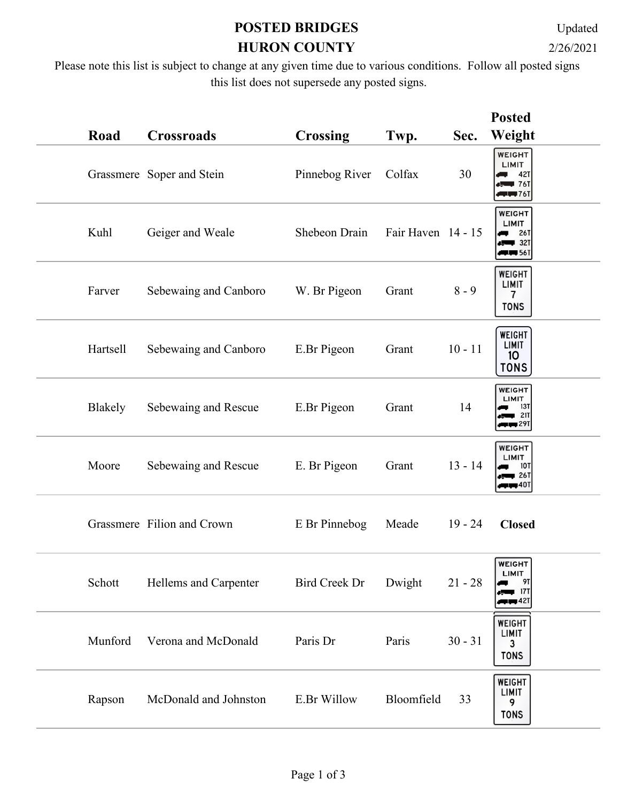## **POSTED BRIDGES HURON COUNTY** 2/26/2021

Updated

Please note this list is subject to change at any given time due to various conditions. Follow all posted signs this list does not supersede any posted signs.

|          |                            |                 |                    |           | <b>Posted</b>                                                  |
|----------|----------------------------|-----------------|--------------------|-----------|----------------------------------------------------------------|
| Road     | <b>Crossroads</b>          | <b>Crossing</b> | Twp.               | Sec.      | Weight                                                         |
|          | Grassmere Soper and Stein  | Pinnebog River  | Colfax             | 30        | <b>WEIGHT</b><br>LIMIT<br>42T<br>$+ 76$<br><b>LU 76T</b>       |
| Kuhl     | Geiger and Weale           | Shebeon Drain   | Fair Haven 14 - 15 |           | WEIGHT<br>LIMIT<br><b>26T</b><br>$\blacksquare$ 32T<br>$+$ 561 |
| Farver   | Sebewaing and Canboro      | W. Br Pigeon    | Grant              | $8 - 9$   | WEIGHT<br>LIMIT<br>$\overline{7}$<br><b>TONS</b>               |
| Hartsell | Sebewaing and Canboro      | E.Br Pigeon     | Grant              | $10 - 11$ | WEIGHT<br><b>LIMIT</b><br>10 <sub>o</sub><br><b>TONS</b>       |
| Blakely  | Sebewaing and Rescue       | E.Br Pigeon     | Grant              | 14        | <b>WEIGHT</b><br>LIMIT<br>13T<br><b>21T</b><br><b>FIFT</b> 291 |
| Moore    | Sebewaing and Rescue       | E. Br Pigeon    | Grant              | $13 - 14$ | WEIGHT<br>LIMIT<br><b>10T</b><br>26T<br>∎40⊺                   |
|          | Grassmere Filion and Crown | E Br Pinnebog   | Meade              | $19 - 24$ | <b>Closed</b>                                                  |
| Schott   | Hellems and Carpenter      | Bird Creek Dr   | Dwight             | $21 - 28$ | <b>WEIGHT</b><br>LIMIT<br>91<br>171<br><b>THE 421</b>          |
| Munford  | Verona and McDonald        | Paris Dr        | Paris              | $30 - 31$ | <b>WEIGHT</b><br><b>LIMIT</b><br>3<br><b>TONS</b>              |
| Rapson   | McDonald and Johnston      | E.Br Willow     | Bloomfield         | 33        | WEIGHT<br>LIMIT<br>9<br><b>TONS</b>                            |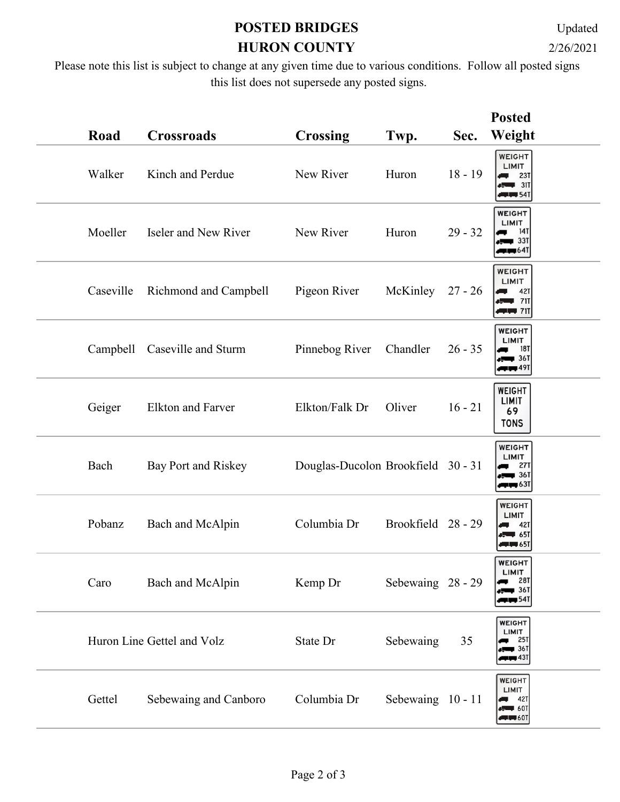## **POSTED BRIDGES HURON COUNTY** 2/26/2021

Updated

Please note this list is subject to change at any given time due to various conditions. Follow all posted signs this list does not supersede any posted signs.

|           |                            |                                    |                    |           | <b>Posted</b>                                                            |
|-----------|----------------------------|------------------------------------|--------------------|-----------|--------------------------------------------------------------------------|
| Road      | <b>Crossroads</b>          | <b>Crossing</b>                    | Twp.               | Sec.      | Weight                                                                   |
| Walker    | Kinch and Perdue           | New River                          | Huron              | $18 - 19$ | <b>WEIGHT</b><br>LIMIT<br>23T<br>31T<br>$+$ 541                          |
| Moeller   | Iseler and New River       | New River                          | Huron              | $29 - 32$ | <b>WEIGHT</b><br>LIMIT<br>14T<br>∎ 33⊺<br><b>up 641</b>                  |
| Caseville | Richmond and Campbell      | Pigeon River                       | McKinley           | $27 - 26$ | WEIGHT<br>LIMIT<br>42T<br>$\leftarrow$ 711<br>$+ + +$                    |
| Campbell  | Caseville and Sturm        | Pinnebog River                     | Chandler           | $26 - 35$ | WEIGHT<br><b>LIMIT</b><br><b>18T</b><br>$\leftarrow$ 361<br>$+$ 491      |
| Geiger    | <b>Elkton and Farver</b>   | Elkton/Falk Dr                     | Oliver             | $16 - 21$ | WEIGHT<br>LIMIT<br>69<br><b>TONS</b>                                     |
| Bach      | Bay Port and Riskey        | Douglas-Ducolon Brookfield 30 - 31 |                    |           | <b>WEIGHT</b><br>LIMIT<br><b>27T</b><br>$\blacksquare$ 36T<br>$\Box$ 631 |
| Pobanz    | Bach and McAlpin           | Columbia Dr                        | Brookfield 28 - 29 |           | <b>WEIGHT</b><br>LIMIT<br>42T<br>Æ<br>$-51$<br>$+$ $+$ 651               |
| Caro      | Bach and McAlpin           | Kemp Dr                            | Sebewaing 28 - 29  |           | <b>WEIGHT</b><br>LIMIT<br>281<br>36 <sup>1</sup><br>$\blacksquare$ 541   |
|           | Huron Line Gettel and Volz | State Dr                           | Sebewaing          | 35        | <b>WEIGHT</b><br>LIMIT<br>25T<br>∎ 36T<br>$\Box$ 431                     |
| Gettel    | Sebewaing and Canboro      | Columbia Dr                        | Sebewaing 10 - 11  |           | WEIGHT<br>LIMIT<br>42T<br>$+ 60$ T<br>$\blacksquare$                     |